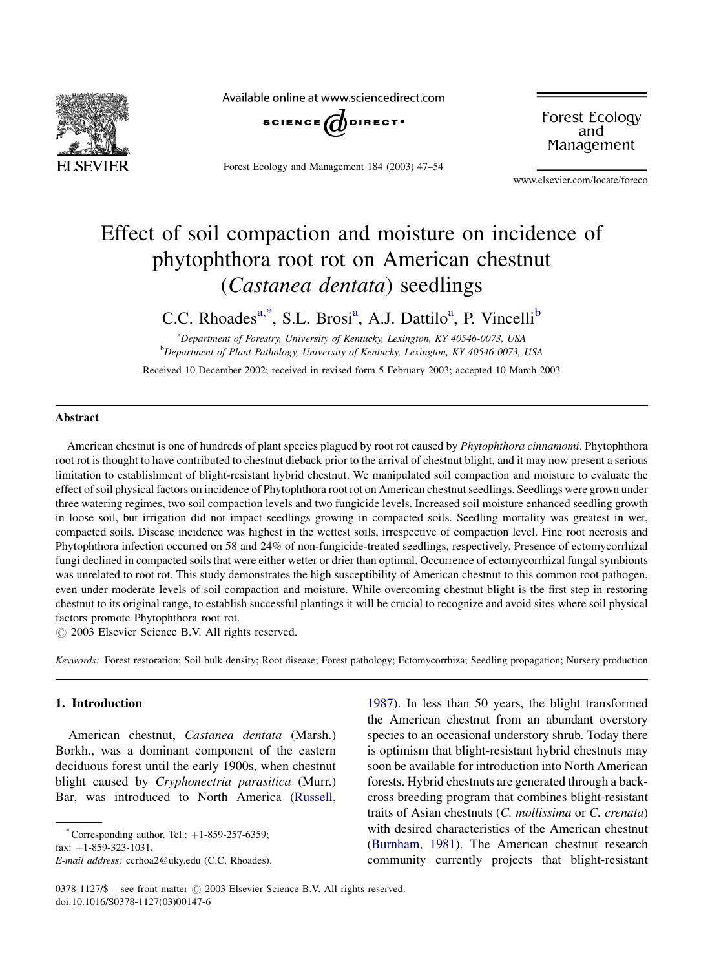

Available online at www.sciencedirect.com



Forest Ecology and Management 184 (2003) 47–54

Forest Ecology and Management

www.elsevier.com/locate/foreco

# Effect of soil compaction and moisture on incidence of phytophthora root rot on American chestnut (Castanea dentata) seedlings

C.C. Rhoades<sup>a,\*</sup>, S.L. Brosi<sup>a</sup>, A.J. Dattilo<sup>a</sup>, P. Vincelli<sup>b</sup>

<sup>a</sup>Department of Forestry, University of Kentucky, Lexington, KY 40546-0073, USA **b**<br>Department of Plant Pathology, University of Kentucky, Lexington, KY 40546-0073, USA

Received 10 December 2002; received in revised form 5 February 2003; accepted 10 March 2003

## Abstract

American chestnut is one of hundreds of plant species plagued by root rot caused by *Phytophthora cinnamomi*. Phytophthora root rot is thought to have contributed to chestnut dieback prior to the arrival of chestnut blight, and it may now present a serious limitation to establishment of blight-resistant hybrid chestnut. We manipulated soil compaction and moisture to evaluate the effect of soil physical factors on incidence of Phytophthora root rot on American chestnut seedlings. Seedlings were grown under three watering regimes, two soil compaction levels and two fungicide levels. Increased soil moisture enhanced seedling growth in loose soil, but irrigation did not impact seedlings growing in compacted soils. Seedling mortality was greatest in wet, compacted soils. Disease incidence was highest in the wettest soils, irrespective of compaction level. Fine root necrosis and Phytophthora infection occurred on 58 and 24% of non-fungicide-treated seedlings, respectively. Presence of ectomycorrhizal fungi declined in compacted soils that were either wetter or drier than optimal. Occurrence of ectomycorrhizal fungal symbionts was unrelated to root rot. This study demonstrates the high susceptibility of American chestnut to this common root pathogen, even under moderate levels of soil compaction and moisture. While overcoming chestnut blight is the first step in restoring chestnut to its original range, to establish successful plantings it will be crucial to recognize and avoid sites where soil physical factors promote Phytophthora root rot.

 $\odot$  2003 Elsevier Science B.V. All rights reserved.

Keywords: Forest restoration; Soil bulk density; Root disease; Forest pathology; Ectomycorrhiza; Seedling propagation; Nursery production

# 1. Introduction

American chestnut, Castanea dentata (Marsh.) Borkh., was a dominant component of the eastern deciduous forest until the early 1900s, when chestnut blight caused by *Cryphonectria parasitica* (Murr.) Bar, was introduced to North America ([Russell,](#page-7-0)

Corresponding author. Tel.:  $+1-859-257-6359$ ; fax:  $+1-859-323-1031$ .

[1987\)](#page-7-0). In less than 50 years, the blight transformed the American chestnut from an abundant overstory species to an occasional understory shrub. Today there is optimism that blight-resistant hybrid chestnuts may soon be available for introduction into North American forests. Hybrid chestnuts are generated through a backcross breeding program that combines blight-resistant traits of Asian chestnuts (C. mollissima or C. crenata) with desired characteristics of the American chestnut ([Burnham, 1981](#page-7-0)). The American chestnut research community currently projects that blight-resistant

E-mail address: ccrhoa2@uky.edu (C.C. Rhoades).

<sup>0378-1127/\$ –</sup> see front matter  $\odot$  2003 Elsevier Science B.V. All rights reserved. doi:10.1016/S0378-1127(03)00147-6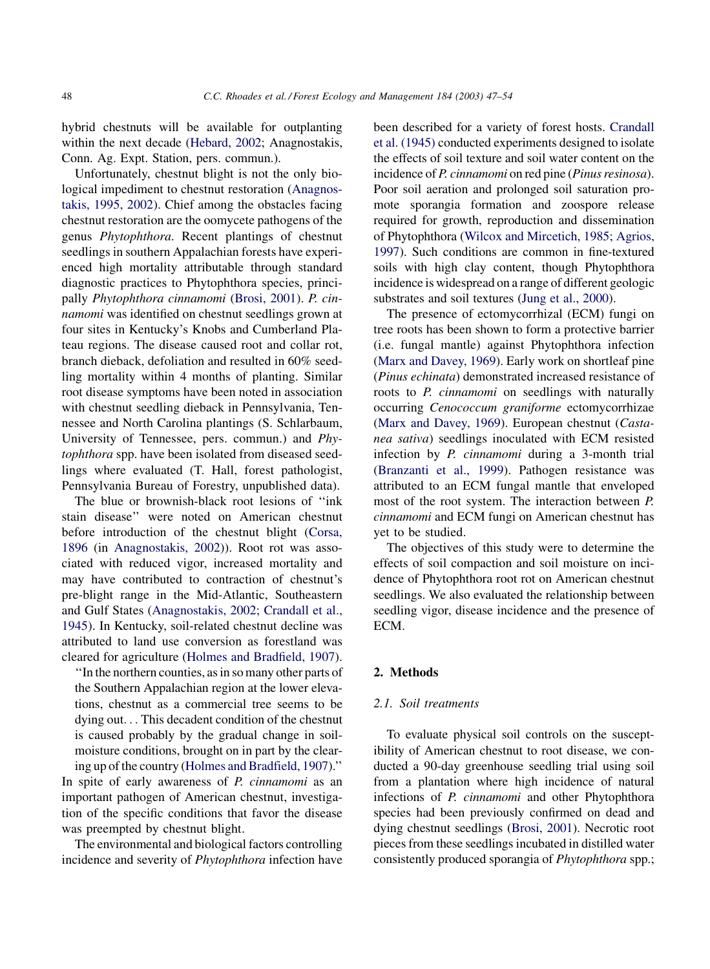hybrid chestnuts will be available for outplanting within the next decade ([Hebard, 2002](#page-7-0); Anagnostakis, Conn. Ag. Expt. Station, pers. commun.).

Unfortunately, chestnut blight is not the only biological impediment to chestnut restoration ([Anagnos](#page-7-0)[takis, 1995, 2002\)](#page-7-0). Chief among the obstacles facing chestnut restoration are the oomycete pathogens of the genus Phytophthora. Recent plantings of chestnut seedlings in southern Appalachian forests have experienced high mortality attributable through standard diagnostic practices to Phytophthora species, principally Phytophthora cinnamomi ([Brosi, 2001](#page-7-0)). P. cinnamomi was identified on chestnut seedlings grown at four sites in Kentucky's Knobs and Cumberland Plateau regions. The disease caused root and collar rot, branch dieback, defoliation and resulted in 60% seedling mortality within 4 months of planting. Similar root disease symptoms have been noted in association with chestnut seedling dieback in Pennsylvania, Tennessee and North Carolina plantings (S. Schlarbaum, University of Tennessee, pers. commun.) and Phytophthora spp. have been isolated from diseased seedlings where evaluated (T. Hall, forest pathologist, Pennsylvania Bureau of Forestry, unpublished data).

The blue or brownish-black root lesions of ''ink stain disease'' were noted on American chestnut before introduction of the chestnut blight ([Corsa,](#page-7-0) [1896](#page-7-0) (in [Anagnostakis, 2002\)](#page-7-0)). Root rot was associated with reduced vigor, increased mortality and may have contributed to contraction of chestnut's pre-blight range in the Mid-Atlantic, Southeastern and Gulf States ([Anagnostakis, 2002; Crandall et al.,](#page-7-0) [1945](#page-7-0)). In Kentucky, soil-related chestnut decline was attributed to land use conversion as forestland was cleared for agriculture [\(Holmes and Bradfield, 1907\)](#page-7-0).

''In the northern counties, as in so many other parts of the Southern Appalachian region at the lower elevations, chestnut as a commercial tree seems to be dying out... This decadent condition of the chestnut is caused probably by the gradual change in soilmoisture conditions, brought on in part by the clearing up of the country [\(Holmes and Bradfield, 1907\)](#page-7-0).'' In spite of early awareness of P. cinnamomi as an important pathogen of American chestnut, investigation of the specific conditions that favor the disease

The environmental and biological factors controlling incidence and severity of Phytophthora infection have

was preempted by chestnut blight.

been described for a variety of forest hosts. [Crandall](#page-7-0) [et al. \(1945\)](#page-7-0) conducted experiments designed to isolate the effects of soil texture and soil water content on the incidence of *P. cinnamomi* on red pine (*Pinus resinosa*). Poor soil aeration and prolonged soil saturation promote sporangia formation and zoospore release required for growth, reproduction and dissemination of Phytophthora [\(Wilcox and Mircetich, 1985; Agrios,](#page-7-0) [1997](#page-7-0)). Such conditions are common in fine-textured soils with high clay content, though Phytophthora incidence is widespread on a range of different geologic substrates and soil textures [\(Jung et al., 2000\)](#page-7-0).

The presence of ectomycorrhizal (ECM) fungi on tree roots has been shown to form a protective barrier (i.e. fungal mantle) against Phytophthora infection ([Marx and Davey, 1969](#page-7-0)). Early work on shortleaf pine (Pinus echinata) demonstrated increased resistance of roots to P. cinnamomi on seedlings with naturally occurring Cenococcum graniforme ectomycorrhizae ([Marx and Davey, 1969\)](#page-7-0). European chestnut (Castanea sativa) seedlings inoculated with ECM resisted infection by P. cinnamomi during a 3-month trial ([Branzanti et al., 1999](#page-7-0)). Pathogen resistance was attributed to an ECM fungal mantle that enveloped most of the root system. The interaction between P. cinnamomi and ECM fungi on American chestnut has yet to be studied.

The objectives of this study were to determine the effects of soil compaction and soil moisture on incidence of Phytophthora root rot on American chestnut seedlings. We also evaluated the relationship between seedling vigor, disease incidence and the presence of ECM.

# 2. Methods

## 2.1. Soil treatments

To evaluate physical soil controls on the susceptibility of American chestnut to root disease, we conducted a 90-day greenhouse seedling trial using soil from a plantation where high incidence of natural infections of P. cinnamomi and other Phytophthora species had been previously confirmed on dead and dying chestnut seedlings [\(Brosi, 2001](#page-7-0)). Necrotic root pieces from these seedlings incubated in distilled water consistently produced sporangia of Phytophthora spp.;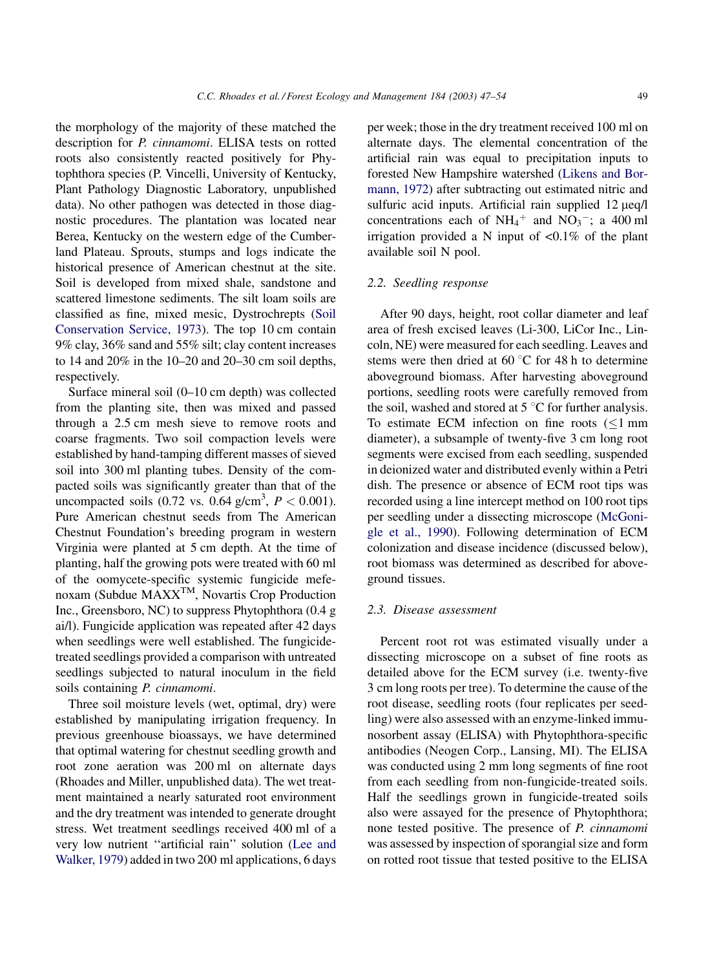the morphology of the majority of these matched the description for P. cinnamomi. ELISA tests on rotted roots also consistently reacted positively for Phytophthora species (P. Vincelli, University of Kentucky, Plant Pathology Diagnostic Laboratory, unpublished data). No other pathogen was detected in those diagnostic procedures. The plantation was located near Berea, Kentucky on the western edge of the Cumberland Plateau. Sprouts, stumps and logs indicate the historical presence of American chestnut at the site. Soil is developed from mixed shale, sandstone and scattered limestone sediments. The silt loam soils are classified as fine, mixed mesic, Dystrochrepts ([Soil](#page-7-0) [Conservation Service, 1973\)](#page-7-0). The top 10 cm contain 9% clay, 36% sand and 55% silt; clay content increases to 14 and 20% in the 10–20 and 20–30 cm soil depths, respectively.

Surface mineral soil (0–10 cm depth) was collected from the planting site, then was mixed and passed through a 2.5 cm mesh sieve to remove roots and coarse fragments. Two soil compaction levels were established by hand-tamping different masses of sieved soil into 300 ml planting tubes. Density of the compacted soils was significantly greater than that of the uncompacted soils  $(0.72 \text{ vs. } 0.64 \text{ g/cm}^3, P < 0.001)$ . Pure American chestnut seeds from The American Chestnut Foundation's breeding program in western Virginia were planted at 5 cm depth. At the time of planting, half the growing pots were treated with 60 ml of the oomycete-specific systemic fungicide mefenoxam (Subdue MAXXTM, Novartis Crop Production Inc., Greensboro, NC) to suppress Phytophthora (0.4 g ai/l). Fungicide application was repeated after 42 days when seedlings were well established. The fungicidetreated seedlings provided a comparison with untreated seedlings subjected to natural inoculum in the field soils containing *P. cinnamomi*.

Three soil moisture levels (wet, optimal, dry) were established by manipulating irrigation frequency. In previous greenhouse bioassays, we have determined that optimal watering for chestnut seedling growth and root zone aeration was 200 ml on alternate days (Rhoades and Miller, unpublished data). The wet treatment maintained a nearly saturated root environment and the dry treatment was intended to generate drought stress. Wet treatment seedlings received 400 ml of a very low nutrient ''artificial rain'' solution [\(Lee and](#page-7-0) [Walker, 1979\)](#page-7-0) added in two 200 ml applications, 6 days

per week; those in the dry treatment received 100 ml on alternate days. The elemental concentration of the artificial rain was equal to precipitation inputs to forested New Hampshire watershed [\(Likens and Bor](#page-7-0)[mann, 1972\)](#page-7-0) after subtracting out estimated nitric and sulfuric acid inputs. Artificial rain supplied  $12 \mu$ eq/l concentrations each of  $NH_4^+$  and  $NO_3^-$ ; a 400 ml irrigation provided a N input of  $\langle 0.1\%$  of the plant available soil N pool.

## 2.2. Seedling response

After 90 days, height, root collar diameter and leaf area of fresh excised leaves (Li-300, LiCor Inc., Lincoln, NE) were measured for each seedling. Leaves and stems were then dried at  $60^{\circ}$ C for 48 h to determine aboveground biomass. After harvesting aboveground portions, seedling roots were carefully removed from the soil, washed and stored at  $5^{\circ}$ C for further analysis. To estimate ECM infection on fine roots  $(\leq 1 \text{ mm})$ diameter), a subsample of twenty-five 3 cm long root segments were excised from each seedling, suspended in deionized water and distributed evenly within a Petri dish. The presence or absence of ECM root tips was recorded using a line intercept method on 100 root tips per seedling under a dissecting microscope ([McGoni](#page-7-0)[gle et al., 1990](#page-7-0)). Following determination of ECM colonization and disease incidence (discussed below), root biomass was determined as described for aboveground tissues.

## 2.3. Disease assessment

Percent root rot was estimated visually under a dissecting microscope on a subset of fine roots as detailed above for the ECM survey (i.e. twenty-five 3 cm long roots per tree). To determine the cause of the root disease, seedling roots (four replicates per seedling) were also assessed with an enzyme-linked immunosorbent assay (ELISA) with Phytophthora-specific antibodies (Neogen Corp., Lansing, MI). The ELISA was conducted using 2 mm long segments of fine root from each seedling from non-fungicide-treated soils. Half the seedlings grown in fungicide-treated soils also were assayed for the presence of Phytophthora; none tested positive. The presence of P. cinnamomi was assessed by inspection of sporangial size and form on rotted root tissue that tested positive to the ELISA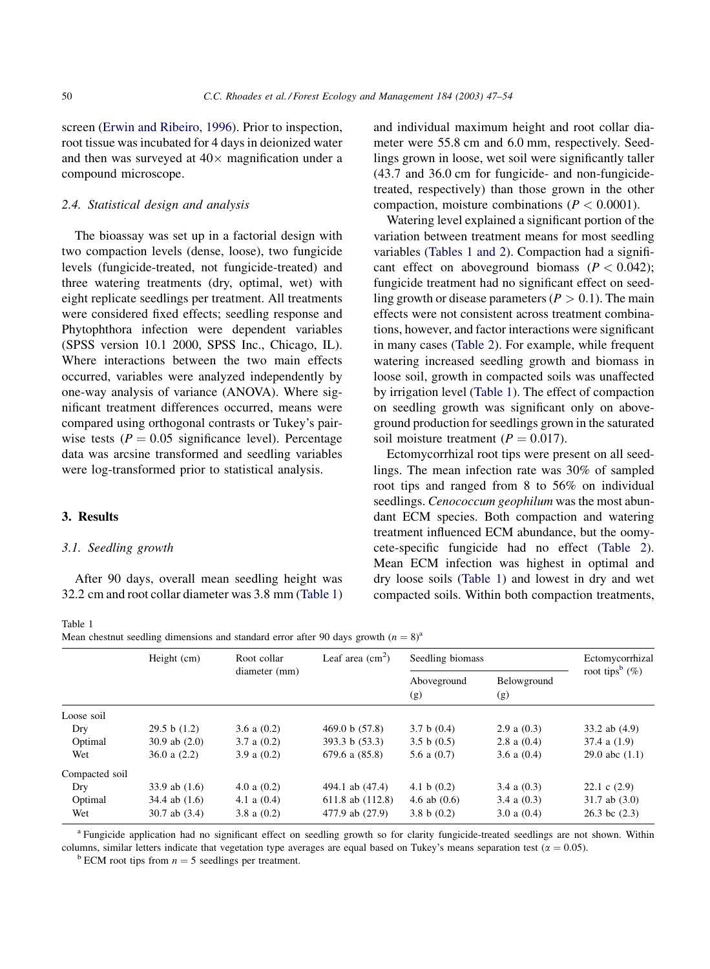screen ([Erwin and Ribeiro, 1996\)](#page-7-0). Prior to inspection, root tissue was incubated for 4 days in deionized water and then was surveyed at  $40\times$  magnification under a compound microscope.

## 2.4. Statistical design and analysis

The bioassay was set up in a factorial design with two compaction levels (dense, loose), two fungicide levels (fungicide-treated, not fungicide-treated) and three watering treatments (dry, optimal, wet) with eight replicate seedlings per treatment. All treatments were considered fixed effects; seedling response and Phytophthora infection were dependent variables (SPSS version 10.1 2000, SPSS Inc., Chicago, IL). Where interactions between the two main effects occurred, variables were analyzed independently by one-way analysis of variance (ANOVA). Where significant treatment differences occurred, means were compared using orthogonal contrasts or Tukey's pairwise tests ( $P = 0.05$  significance level). Percentage data was arcsine transformed and seedling variables were log-transformed prior to statistical analysis.

# 3. Results

# 3.1. Seedling growth

After 90 days, overall mean seedling height was 32.2 cm and root collar diameter was 3.8 mm (Table 1) and individual maximum height and root collar diameter were 55.8 cm and 6.0 mm, respectively. Seedlings grown in loose, wet soil were significantly taller (43.7 and 36.0 cm for fungicide- and non-fungicidetreated, respectively) than those grown in the other compaction, moisture combinations ( $P < 0.0001$ ).

Watering level explained a significant portion of the variation between treatment means for most seedling variables (Tables 1 and 2). Compaction had a significant effect on aboveground biomass  $(P < 0.042)$ ; fungicide treatment had no significant effect on seedling growth or disease parameters ( $P > 0.1$ ). The main effects were not consistent across treatment combinations, however, and factor interactions were significant in many cases [\(Table 2](#page-4-0)). For example, while frequent watering increased seedling growth and biomass in loose soil, growth in compacted soils was unaffected by irrigation level (Table 1). The effect of compaction on seedling growth was significant only on aboveground production for seedlings grown in the saturated soil moisture treatment ( $P = 0.017$ ).

Ectomycorrhizal root tips were present on all seedlings. The mean infection rate was 30% of sampled root tips and ranged from 8 to 56% on individual seedlings. Cenococcum geophilum was the most abundant ECM species. Both compaction and watering treatment influenced ECM abundance, but the oomycete-specific fungicide had no effect [\(Table 2\)](#page-4-0). Mean ECM infection was highest in optimal and dry loose soils (Table 1) and lowest in dry and wet compacted soils. Within both compaction treatments,

## Table 1

Mean chestnut seedling dimensions and standard error after 90 days growth  $(n = 8)^{a}$ 

|                | Height (cm)       | Root collar   | Leaf area $(cm2)$  | Seedling biomass   | Ectomycorrhizal    |                               |
|----------------|-------------------|---------------|--------------------|--------------------|--------------------|-------------------------------|
|                |                   | diameter (mm) |                    | Aboveground<br>(g) | Belowground<br>(g) | root tips <sup>b</sup> $(\%)$ |
| Loose soil     |                   |               |                    |                    |                    |                               |
| Dry            | 29.5 b(1.2)       | 3.6 a $(0.2)$ | 469.0 b $(57.8)$   | 3.7 b $(0.4)$      | $2.9$ a $(0.3)$    | 33.2 ab $(4.9)$               |
| Optimal        | $30.9$ ab $(2.0)$ | 3.7 a $(0.2)$ | 393.3 b (53.3)     | 3.5 b $(0.5)$      | 2.8 a $(0.4)$      | $37.4$ a $(1.9)$              |
| Wet            | 36.0 a $(2.2)$    | 3.9 a $(0.2)$ | $679.6$ a $(85.8)$ | 5.6 a $(0.7)$      | 3.6 a $(0.4)$      | 29.0 abc $(1.1)$              |
| Compacted soil |                   |               |                    |                    |                    |                               |
| Dry            | 33.9 ab $(1.6)$   | 4.0 a $(0.2)$ | 494.1 ab (47.4)    | 4.1 b $(0.2)$      | $3.4$ a $(0.3)$    | 22.1 c $(2.9)$                |
| Optimal        | $34.4$ ab $(1.6)$ | 4.1 a $(0.4)$ | 611.8 ab (112.8)   | 4.6 ab $(0.6)$     | $3.4$ a $(0.3)$    | $31.7$ ab $(3.0)$             |
| Wet            | $30.7$ ab $(3.4)$ | 3.8 a $(0.2)$ | 477.9 ab (27.9)    | 3.8 b $(0.2)$      | 3.0 a $(0.4)$      | $26.3$ bc $(2.3)$             |

a Fungicide application had no significant effect on seedling growth so for clarity fungicide-treated seedlings are not shown. Within columns, similar letters indicate that vegetation type averages are equal based on Tukey's means separation test ( $\alpha = 0.05$ ). b ECM root tips from  $n = 5$  seedlings per treatment.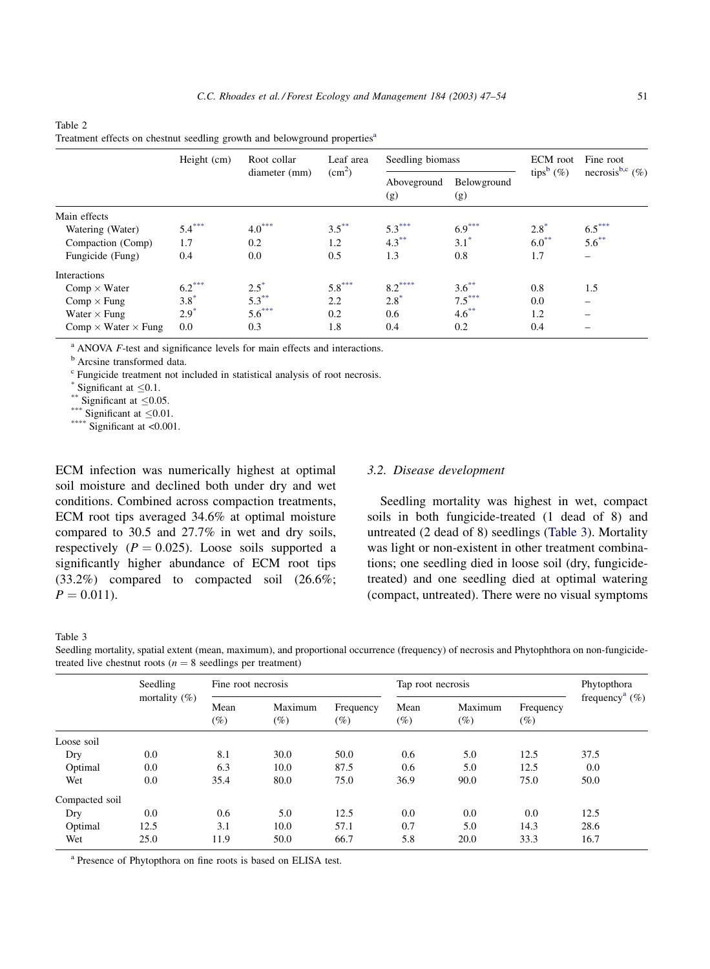|                                   | Height (cm) | Root collar<br>diameter (mm) | Leaf area<br>(cm <sup>2</sup> ) | Seedling biomass   |                    | ECM root                 | Fine root                      |
|-----------------------------------|-------------|------------------------------|---------------------------------|--------------------|--------------------|--------------------------|--------------------------------|
|                                   |             |                              |                                 | Aboveground<br>(g) | Belowground<br>(g) | tips <sup>b</sup> $(\%)$ | necrosis <sup>b,c</sup> $(\%)$ |
| Main effects                      |             |                              |                                 |                    |                    |                          |                                |
| Watering (Water)                  | $5.4***$    | $4.0***$                     | $3.5***$                        | $5.3***$           | $6.9***$           | $2.8^{\circ}$            | $6.5***$                       |
| Compaction (Comp)                 | 1.7         | 0.2                          | 1.2                             | $4.3***$           | $3.1^*$            | $6.0^{**}$               | $5.6***$                       |
| Fungicide (Fung)                  | 0.4         | 0.0                          | 0.5                             | 1.3                | 0.8                | 1.7                      |                                |
| Interactions                      |             |                              |                                 |                    |                    |                          |                                |
| $Comp \times Water$               | $6.2***$    | $2.5^*$                      | $5.8***$                        | $8.2***$           | $3.6***$           | 0.8                      | 1.5                            |
| $Comp \times Fung$                | $3.8*$      | $5.3***$                     | 2.2                             | $2.8*$             | $7.5***$           | 0.0                      |                                |
| Water $\times$ Fung               | $2.9*$      | $5.6***$                     | 0.2                             | 0.6                | $4.6***$           | 1.2                      |                                |
| Comp $\times$ Water $\times$ Fung | 0.0         | 0.3                          | 1.8                             | 0.4                | 0.2                | 0.4                      |                                |

| Treatment effects on chestnut seedling growth and belowground properties <sup>a</sup> |  |  |  |
|---------------------------------------------------------------------------------------|--|--|--|
|                                                                                       |  |  |  |

 $A$  ANOVA  $F$ -test and significance levels for main effects and interactions.

<sup>b</sup> Arcsine transformed data.

<sup>c</sup> Fungicide treatment not included in statistical analysis of root necrosis.

\* Significant at  $\leq 0.1$ .<br>\*\* Significant at  $\leq 0.05$ .<br>\*\*\* Significant at  $\leq 0.01$ .<br>\*\*\*\* Significant at  $< 0.001$ .

ECM infection was numerically highest at optimal soil moisture and declined both under dry and wet conditions. Combined across compaction treatments, ECM root tips averaged 34.6% at optimal moisture compared to 30.5 and 27.7% in wet and dry soils, respectively ( $P = 0.025$ ). Loose soils supported a significantly higher abundance of ECM root tips (33.2%) compared to compacted soil (26.6%;  $P = 0.011$ .

# 3.2. Disease development

Seedling mortality was highest in wet, compact soils in both fungicide-treated (1 dead of 8) and untreated (2 dead of 8) seedlings (Table 3). Mortality was light or non-existent in other treatment combinations; one seedling died in loose soil (dry, fungicidetreated) and one seedling died at optimal watering (compact, untreated). There were no visual symptoms

Table 3

<span id="page-4-0"></span>Table 2

Seedling mortality, spatial extent (mean, maximum), and proportional occurrence (frequency) of necrosis and Phytophthora on non-fungicidetreated live chestnut roots ( $n = 8$  seedlings per treatment)

|                | Seedling<br>mortality $(\%)$ | Fine root necrosis |                   |                  | Tap root necrosis |                   |                     | Phytopthora                   |
|----------------|------------------------------|--------------------|-------------------|------------------|-------------------|-------------------|---------------------|-------------------------------|
|                |                              | Mean<br>(%)        | Maximum<br>$(\%)$ | Frequency<br>(%) | Mean<br>$(\%)$    | Maximum<br>$(\%)$ | Frequency<br>$(\%)$ | frequency <sup>a</sup> $(\%)$ |
| Loose soil     |                              |                    |                   |                  |                   |                   |                     |                               |
| Dry            | 0.0                          | 8.1                | 30.0              | 50.0             | 0.6               | 5.0               | 12.5                | 37.5                          |
| Optimal        | 0.0                          | 6.3                | 10.0              | 87.5             | 0.6               | 5.0               | 12.5                | 0.0                           |
| Wet            | 0.0                          | 35.4               | 80.0              | 75.0             | 36.9              | 90.0              | 75.0                | 50.0                          |
| Compacted soil |                              |                    |                   |                  |                   |                   |                     |                               |
| Dry            | 0.0                          | 0.6                | 5.0               | 12.5             | 0.0               | 0.0               | 0.0                 | 12.5                          |
| Optimal        | 12.5                         | 3.1                | 10.0              | 57.1             | 0.7               | 5.0               | 14.3                | 28.6                          |
| Wet            | 25.0                         | 11.9               | 50.0              | 66.7             | 5.8               | 20.0              | 33.3                | 16.7                          |

<sup>a</sup> Presence of Phytopthora on fine roots is based on ELISA test.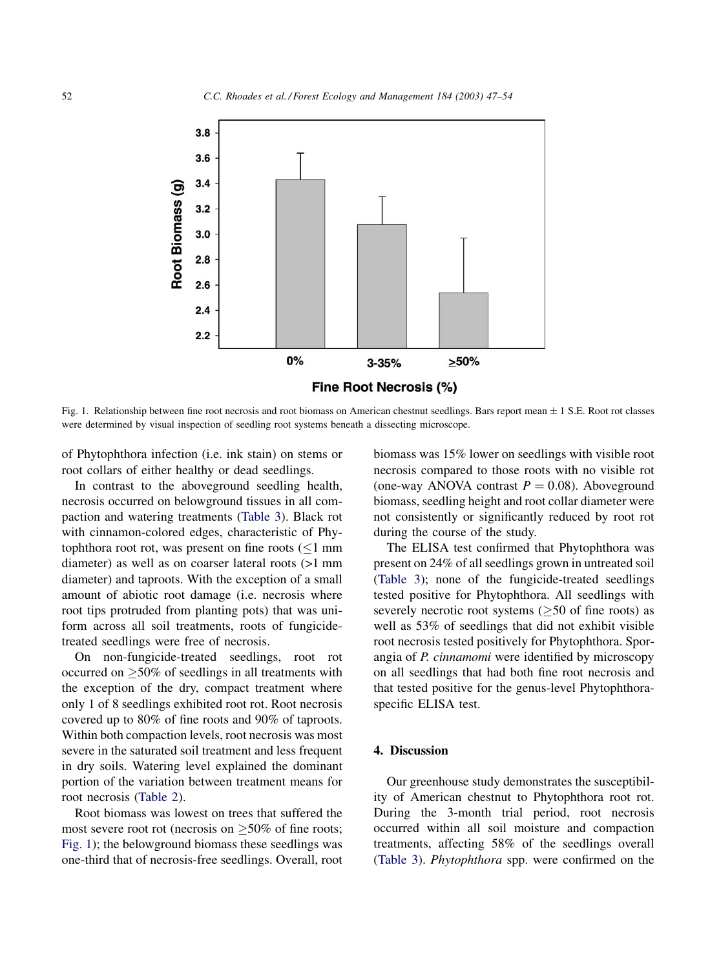<span id="page-5-0"></span>

Fig. 1. Relationship between fine root necrosis and root biomass on American chestnut seedlings. Bars report mean  $\pm$  1 S.E. Root rot classes were determined by visual inspection of seedling root systems beneath a dissecting microscope.

of Phytophthora infection (i.e. ink stain) on stems or root collars of either healthy or dead seedlings.

In contrast to the aboveground seedling health, necrosis occurred on belowground tissues in all compaction and watering treatments [\(Table 3\)](#page-4-0). Black rot with cinnamon-colored edges, characteristic of Phytophthora root rot, was present on fine roots  $(\leq 1 \text{ mm})$ diameter) as well as on coarser lateral roots (>1 mm diameter) and taproots. With the exception of a small amount of abiotic root damage (i.e. necrosis where root tips protruded from planting pots) that was uniform across all soil treatments, roots of fungicidetreated seedlings were free of necrosis.

On non-fungicide-treated seedlings, root rot occurred on  $\geq$ 50% of seedlings in all treatments with the exception of the dry, compact treatment where only 1 of 8 seedlings exhibited root rot. Root necrosis covered up to 80% of fine roots and 90% of taproots. Within both compaction levels, root necrosis was most severe in the saturated soil treatment and less frequent in dry soils. Watering level explained the dominant portion of the variation between treatment means for root necrosis [\(Table 2\)](#page-4-0).

Root biomass was lowest on trees that suffered the most severe root rot (necrosis on  $>50\%$  of fine roots; Fig. 1); the belowground biomass these seedlings was one-third that of necrosis-free seedlings. Overall, root biomass was 15% lower on seedlings with visible root necrosis compared to those roots with no visible rot (one-way ANOVA contrast  $P = 0.08$ ). Aboveground biomass, seedling height and root collar diameter were not consistently or significantly reduced by root rot during the course of the study.

The ELISA test confirmed that Phytophthora was present on 24% of all seedlings grown in untreated soil ([Table 3](#page-4-0)); none of the fungicide-treated seedlings tested positive for Phytophthora. All seedlings with severely necrotic root systems ( $\geq$ 50 of fine roots) as well as 53% of seedlings that did not exhibit visible root necrosis tested positively for Phytophthora. Sporangia of P. cinnamomi were identified by microscopy on all seedlings that had both fine root necrosis and that tested positive for the genus-level Phytophthoraspecific ELISA test.

# 4. Discussion

Our greenhouse study demonstrates the susceptibility of American chestnut to Phytophthora root rot. During the 3-month trial period, root necrosis occurred within all soil moisture and compaction treatments, affecting 58% of the seedlings overall ([Table 3\)](#page-4-0). Phytophthora spp. were confirmed on the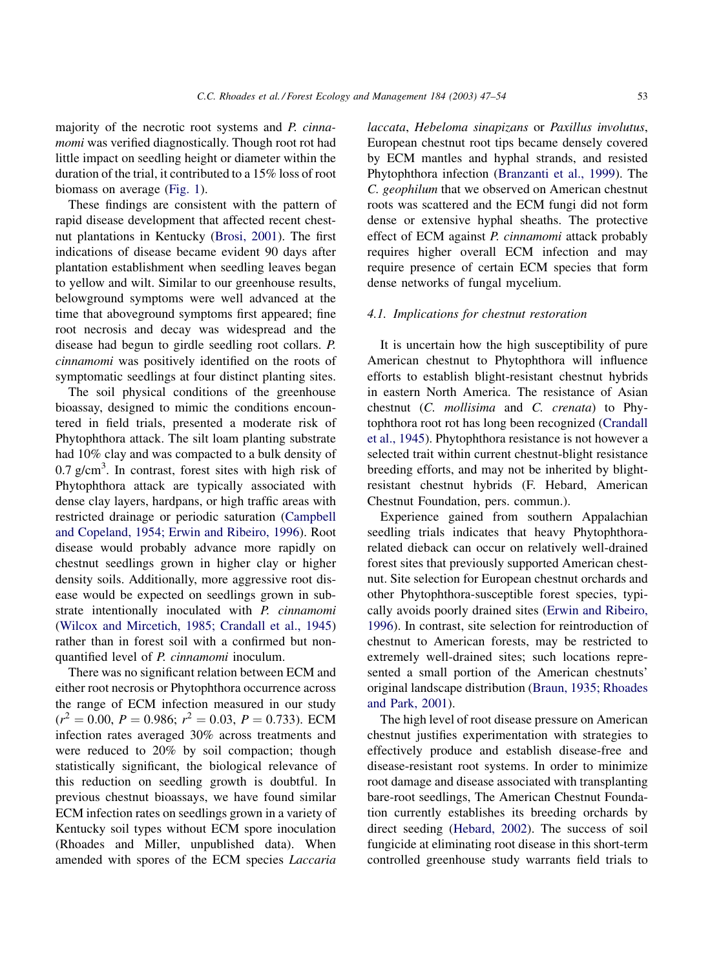majority of the necrotic root systems and P. cinnamomi was verified diagnostically. Though root rot had little impact on seedling height or diameter within the duration of the trial, it contributed to a 15% loss of root biomass on average ([Fig. 1\)](#page-5-0).

These findings are consistent with the pattern of rapid disease development that affected recent chestnut plantations in Kentucky ([Brosi, 2001\)](#page-7-0). The first indications of disease became evident 90 days after plantation establishment when seedling leaves began to yellow and wilt. Similar to our greenhouse results, belowground symptoms were well advanced at the time that aboveground symptoms first appeared; fine root necrosis and decay was widespread and the disease had begun to girdle seedling root collars. P. cinnamomi was positively identified on the roots of symptomatic seedlings at four distinct planting sites.

The soil physical conditions of the greenhouse bioassay, designed to mimic the conditions encountered in field trials, presented a moderate risk of Phytophthora attack. The silt loam planting substrate had 10% clay and was compacted to a bulk density of  $0.7 \text{ g/cm}^3$ . In contrast, forest sites with high risk of Phytophthora attack are typically associated with dense clay layers, hardpans, or high traffic areas with restricted drainage or periodic saturation ([Campbell](#page-7-0) [and Copeland, 1954; Erwin and Ribeiro, 1996\)](#page-7-0). Root disease would probably advance more rapidly on chestnut seedlings grown in higher clay or higher density soils. Additionally, more aggressive root disease would be expected on seedlings grown in substrate intentionally inoculated with P. cinnamomi ([Wilcox and Mircetich, 1985; Crandall et al., 1945](#page-7-0)) rather than in forest soil with a confirmed but nonquantified level of P. cinnamomi inoculum.

There was no significant relation between ECM and either root necrosis or Phytophthora occurrence across the range of ECM infection measured in our study  $(r^2 = 0.00, P = 0.986; r^2 = 0.03, P = 0.733)$ . ECM infection rates averaged 30% across treatments and were reduced to 20% by soil compaction; though statistically significant, the biological relevance of this reduction on seedling growth is doubtful. In previous chestnut bioassays, we have found similar ECM infection rates on seedlings grown in a variety of Kentucky soil types without ECM spore inoculation (Rhoades and Miller, unpublished data). When amended with spores of the ECM species Laccaria

laccata, Hebeloma sinapizans or Paxillus involutus, European chestnut root tips became densely covered by ECM mantles and hyphal strands, and resisted Phytophthora infection ([Branzanti et al., 1999\)](#page-7-0). The C. geophilum that we observed on American chestnut roots was scattered and the ECM fungi did not form dense or extensive hyphal sheaths. The protective effect of ECM against P. cinnamomi attack probably requires higher overall ECM infection and may require presence of certain ECM species that form dense networks of fungal mycelium.

## 4.1. Implications for chestnut restoration

It is uncertain how the high susceptibility of pure American chestnut to Phytophthora will influence efforts to establish blight-resistant chestnut hybrids in eastern North America. The resistance of Asian chestnut (C. mollisima and C. crenata) to Phytophthora root rot has long been recognized [\(Crandall](#page-7-0) [et al., 1945\)](#page-7-0). Phytophthora resistance is not however a selected trait within current chestnut-blight resistance breeding efforts, and may not be inherited by blightresistant chestnut hybrids (F. Hebard, American Chestnut Foundation, pers. commun.).

Experience gained from southern Appalachian seedling trials indicates that heavy Phytophthorarelated dieback can occur on relatively well-drained forest sites that previously supported American chestnut. Site selection for European chestnut orchards and other Phytophthora-susceptible forest species, typically avoids poorly drained sites [\(Erwin and Ribeiro,](#page-7-0) [1996\)](#page-7-0). In contrast, site selection for reintroduction of chestnut to American forests, may be restricted to extremely well-drained sites; such locations represented a small portion of the American chestnuts' original landscape distribution [\(Braun, 1935; Rhoades](#page-7-0) [and Park, 2001](#page-7-0)).

The high level of root disease pressure on American chestnut justifies experimentation with strategies to effectively produce and establish disease-free and disease-resistant root systems. In order to minimize root damage and disease associated with transplanting bare-root seedlings, The American Chestnut Foundation currently establishes its breeding orchards by direct seeding ([Hebard, 2002](#page-7-0)). The success of soil fungicide at eliminating root disease in this short-term controlled greenhouse study warrants field trials to